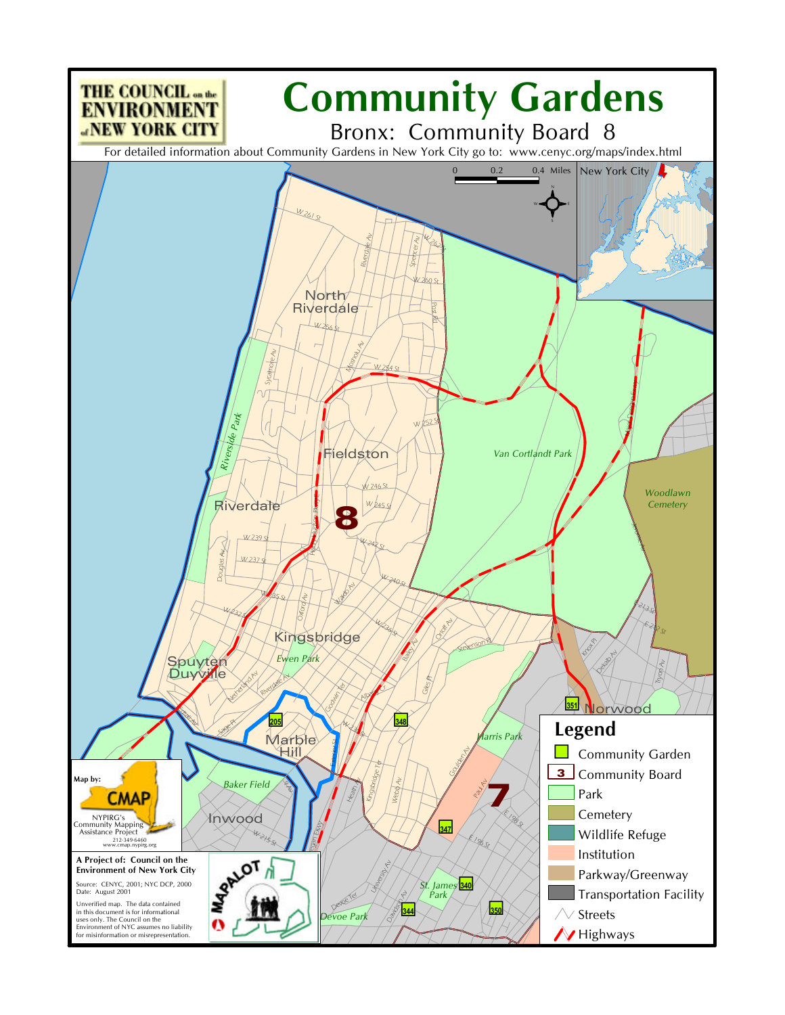